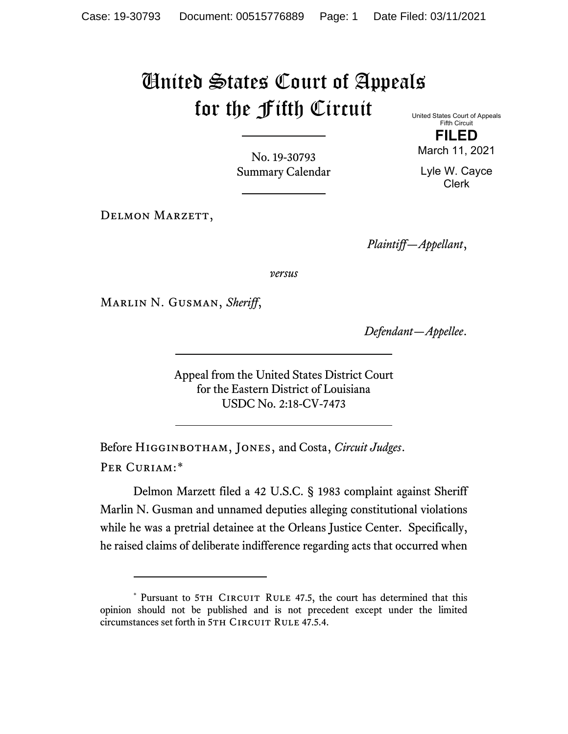## United States Court of Appeals for the Fifth Circuit

United States Court of Appeals Fifth Circuit

No. 19-30793 Summary Calendar

DELMON MARZETT,

**FILED**

March 11, 2021

Lyle W. Cayce Clerk

*Plaintiff—Appellant*,

*versus*

Marlin N. Gusman, *Sheriff*,

*Defendant—Appellee*.

Appeal from the United States District Court for the Eastern District of Louisiana USDC No. 2:18-CV-7473

Before Higginbotham, Jones, and Costa, *Circuit Judges*. Per Curiam:[\\*](#page-0-0)

Delmon Marzett filed a 42 U.S.C. § 1983 complaint against Sheriff Marlin N. Gusman and unnamed deputies alleging constitutional violations while he was a pretrial detainee at the Orleans Justice Center. Specifically, he raised claims of deliberate indifference regarding acts that occurred when

<span id="page-0-0"></span><sup>\*</sup> Pursuant to 5TH CIRCUIT RULE 47.5, the court has determined that this opinion should not be published and is not precedent except under the limited circumstances set forth in 5TH CIRCUIT RULE 47.5.4.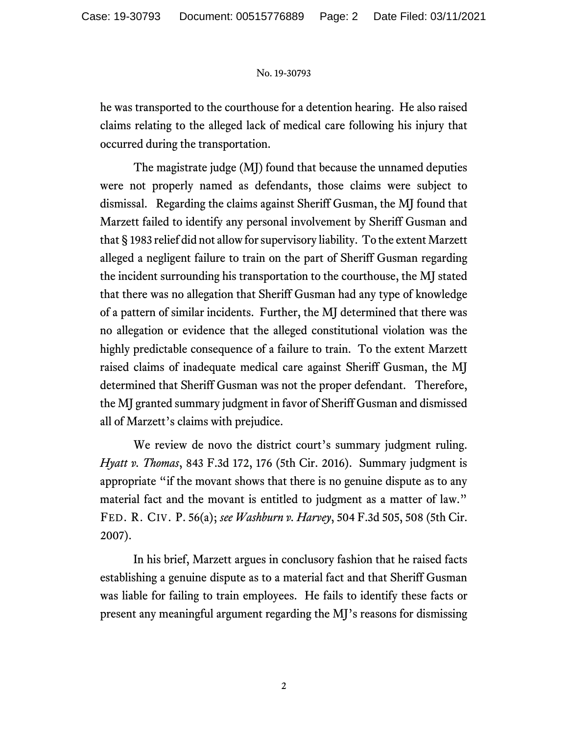## No. 19-30793

he was transported to the courthouse for a detention hearing. He also raised claims relating to the alleged lack of medical care following his injury that occurred during the transportation.

The magistrate judge (MJ) found that because the unnamed deputies were not properly named as defendants, those claims were subject to dismissal. Regarding the claims against Sheriff Gusman, the MJ found that Marzett failed to identify any personal involvement by Sheriff Gusman and that § 1983 relief did not allow for supervisory liability. To the extent Marzett alleged a negligent failure to train on the part of Sheriff Gusman regarding the incident surrounding his transportation to the courthouse, the MJ stated that there was no allegation that Sheriff Gusman had any type of knowledge of a pattern of similar incidents. Further, the MJ determined that there was no allegation or evidence that the alleged constitutional violation was the highly predictable consequence of a failure to train. To the extent Marzett raised claims of inadequate medical care against Sheriff Gusman, the MJ determined that Sheriff Gusman was not the proper defendant. Therefore, the MJ granted summary judgment in favor of Sheriff Gusman and dismissed all of Marzett's claims with prejudice.

We review de novo the district court's summary judgment ruling. *Hyatt v. Thomas*, 843 F.3d 172, 176 (5th Cir. 2016). Summary judgment is appropriate "if the movant shows that there is no genuine dispute as to any material fact and the movant is entitled to judgment as a matter of law." FED. R. CIV. P. 56(a); *see Washburn v. Harvey*, 504 F.3d 505, 508 (5th Cir. 2007).

In his brief, Marzett argues in conclusory fashion that he raised facts establishing a genuine dispute as to a material fact and that Sheriff Gusman was liable for failing to train employees. He fails to identify these facts or present any meaningful argument regarding the MJ's reasons for dismissing